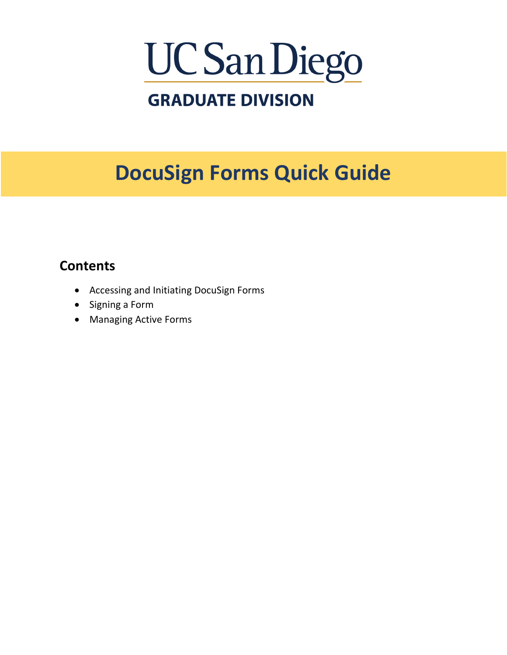# UC San Diego

## **GRADUATE DIVISION**

## **DocuSign Forms Quick Guide**

## **Contents**

- Accessing and Initiating [DocuSign Forms](#page-1-0)
- [Signing a Form](#page-5-0)
- [Managing Active Forms](#page-7-0)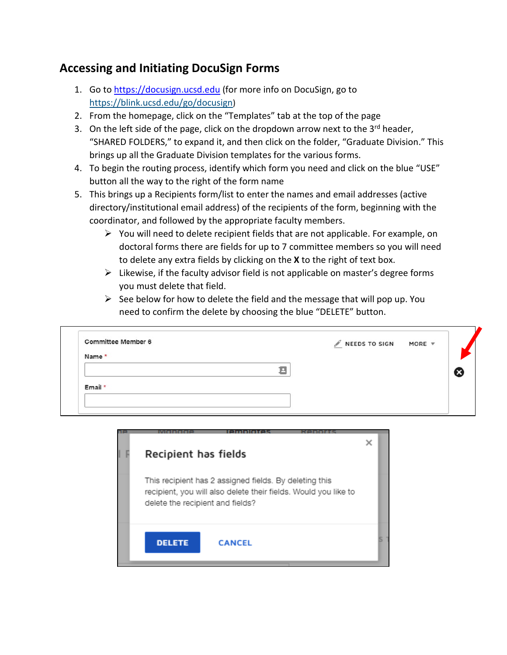### <span id="page-1-0"></span>**Accessing and Initiating DocuSign Forms**

- 1. Go t[o https://docusign.ucsd.edu](https://docusign.ucsd.edu/) (for more info on DocuSign, go to [https://blink.ucsd.edu/go/docusign\)](https://blink.ucsd.edu/go/docusign)
- 2. From the homepage, click on the "Templates" tab at the top of the page
- 3. On the left side of the page, click on the dropdown arrow next to the  $3<sup>rd</sup>$  header, "SHARED FOLDERS," to expand it, and then click on the folder, "Graduate Division." This brings up all the Graduate Division templates for the various forms.
- 4. To begin the routing process, identify which form you need and click on the blue "USE" button all the way to the right of the form name
- 5. This brings up a Recipients form/list to enter the names and email addresses (active directory/institutional email address) of the recipients of the form, beginning with the coordinator, and followed by the appropriate faculty members.
	- $\triangleright$  You will need to delete recipient fields that are not applicable. For example, on doctoral forms there are fields for up to 7 committee members so you will need to delete any extra fields by clicking on the **X** to the right of text box.
	- $\triangleright$  Likewise, if the faculty advisor field is not applicable on master's degree forms you must delete that field.
	- $\triangleright$  See below for how to delete the field and the message that will pop up. You need to confirm the delete by choosing the blue "DELETE" button.

| Committee Member 6 |   | NEEDS TO SIGN MORE V |  |
|--------------------|---|----------------------|--|
| Name *             |   |                      |  |
|                    | п |                      |  |
|                    |   |                      |  |
| Email *            |   |                      |  |

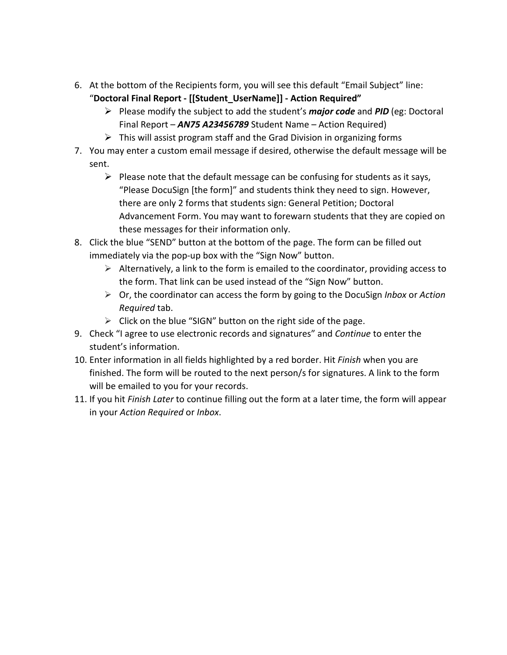6. At the bottom of the Recipients form, you will see this default "Email Subject" line:

```
"Doctoral Final Report - [[Student_UserName]] - Action Required"
```
- Please modify the subject to add the student's *major code* and *PID* (eg: Doctoral Final Report – *AN75 A23456789* Student Name – Action Required)
- $\triangleright$  This will assist program staff and the Grad Division in organizing forms
- 7. You may enter a custom email message if desired, otherwise the default message will be sent.
	- $\triangleright$  Please note that the default message can be confusing for students as it says, "Please DocuSign [the form]" and students think they need to sign. However, there are only 2 forms that students sign: General Petition; Doctoral Advancement Form. You may want to forewarn students that they are copied on these messages for their information only.
- 8. Click the blue "SEND" button at the bottom of the page. The form can be filled out immediately via the pop-up box with the "Sign Now" button.
	- $\triangleright$  Alternatively, a link to the form is emailed to the coordinator, providing access to the form. That link can be used instead of the "Sign Now" button.
	- Or, the coordinator can access the form by going to the DocuSign *Inbox* or *Action Required* tab.
	- $\triangleright$  Click on the blue "SIGN" button on the right side of the page.
- 9. Check "I agree to use electronic records and signatures" and *Continue* to enter the student's information.
- 10. Enter information in all fields highlighted by a red border. Hit *Finish* when you are finished. The form will be routed to the next person/s for signatures. A link to the form will be emailed to you for your records.
- 11. If you hit *Finish Later* to continue filling out the form at a later time, the form will appear in your *Action Required* or *Inbox*.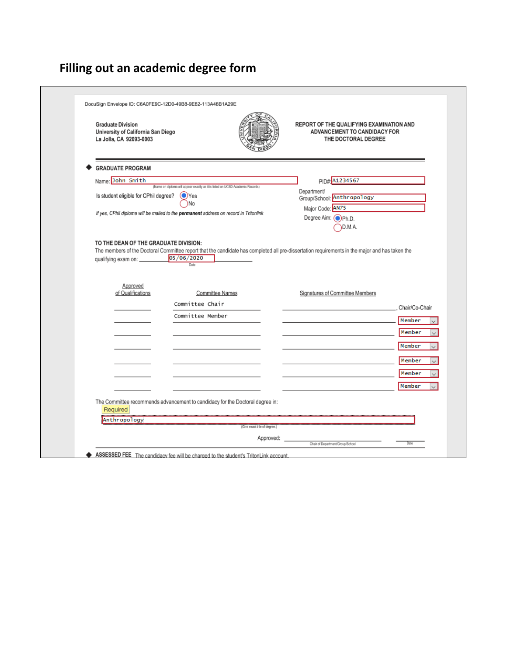## **Filling out an academic degree form**

| <b>Graduate Division</b><br>University of California San Diego<br>La Jolla, CA 92093-0003 |                                                                                                                                                                      | REPORT OF THE QUALIFYING EXAMINATION AND<br>ADVANCEMENT TO CANDIDACY FOR<br>THE DOCTORAL DEGREE |                          |
|-------------------------------------------------------------------------------------------|----------------------------------------------------------------------------------------------------------------------------------------------------------------------|-------------------------------------------------------------------------------------------------|--------------------------|
| <b>GRADUATE PROGRAM</b>                                                                   |                                                                                                                                                                      |                                                                                                 |                          |
| Name: John Smith                                                                          |                                                                                                                                                                      | PID#: A1234567                                                                                  |                          |
| Is student eligible for CPhil degree?                                                     | (Name on diploma will appear exactly as it is listed on UCSD Academic Records)<br>$\odot$ Yes<br>)No                                                                 | Department/<br>Group/School: Anthropology<br>Major Code: AN75                                   |                          |
|                                                                                           | If yes, CPhil diploma will be mailed to the permanent address on record in Tritonlink                                                                                | Degree Aim: OPh.D.<br>D.M.A.                                                                    |                          |
| qualifying exam on: _________                                                             | The members of the Doctoral Committee report that the candidate has completed all pre-dissertation requirements in the major and has taken the<br>05/06/2020<br>Date |                                                                                                 |                          |
| Approved<br>of Qualifications                                                             | <b>Committee Names</b>                                                                                                                                               | Signatures of Committee Members                                                                 |                          |
|                                                                                           | Committee Chair                                                                                                                                                      |                                                                                                 |                          |
|                                                                                           | Committee Member                                                                                                                                                     |                                                                                                 |                          |
|                                                                                           |                                                                                                                                                                      |                                                                                                 | Member                   |
|                                                                                           |                                                                                                                                                                      |                                                                                                 | Member                   |
|                                                                                           |                                                                                                                                                                      |                                                                                                 | Chair/Co-Chair<br>Member |
|                                                                                           |                                                                                                                                                                      |                                                                                                 | Member                   |
|                                                                                           |                                                                                                                                                                      |                                                                                                 | Member                   |
|                                                                                           |                                                                                                                                                                      |                                                                                                 | Member                   |
| Required                                                                                  | The Committee recommends advancement to candidacy for the Doctoral degree in:                                                                                        |                                                                                                 |                          |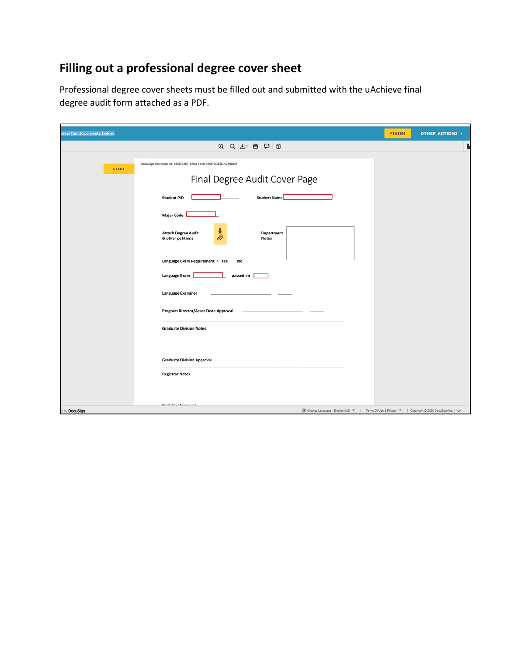## **Filling out a professional degree cover sheet**

Professional degree cover sheets must be filled out and submitted with the uAchieve final degree audit form attached as a PDF.

| view the documents below. |                                                                                                                                           | <b>FINISH</b> | <b>OTHER ACTIONS v</b> |
|---------------------------|-------------------------------------------------------------------------------------------------------------------------------------------|---------------|------------------------|
|                           | $Q Q L = \frac{1}{2}$                                                                                                                     |               |                        |
| <b>START</b>              | DocuSign Envelope ID: 6B3E7957-8800-4168-8305-2CEB7A716BD8                                                                                |               |                        |
|                           | Final Degree Audit Cover Page                                                                                                             |               |                        |
|                           | <b>Student Name</b><br><b>Student PID</b>                                                                                                 |               |                        |
|                           | <b>Major Code</b>                                                                                                                         |               |                        |
|                           | ı<br><b>Attach Degree Audit</b><br>Department<br><br>& other petitions<br><b>Notes</b>                                                    |               |                        |
|                           | Language Exam Requirement $\times$ Yes<br>No                                                                                              |               |                        |
|                           | Language Exam<br>passed on                                                                                                                |               |                        |
|                           | Language Examiner                                                                                                                         |               |                        |
|                           | Program Director/Assoc Dean Approval                                                                                                      |               |                        |
|                           | <b>Graduate Division Notes</b>                                                                                                            |               |                        |
|                           |                                                                                                                                           |               |                        |
|                           | <b>Graduate Division Approval</b> _                                                                                                       |               |                        |
|                           | <b>Registrar Notes</b>                                                                                                                    |               |                        |
|                           |                                                                                                                                           |               |                        |
| d by DocuSign             | <b>Donichene Anneouni</b><br><b>ED</b> Change Language - English (US) V   Terms Of Use & Privacy V   Copyright © 2020 DocuSign Inc.   V2R |               |                        |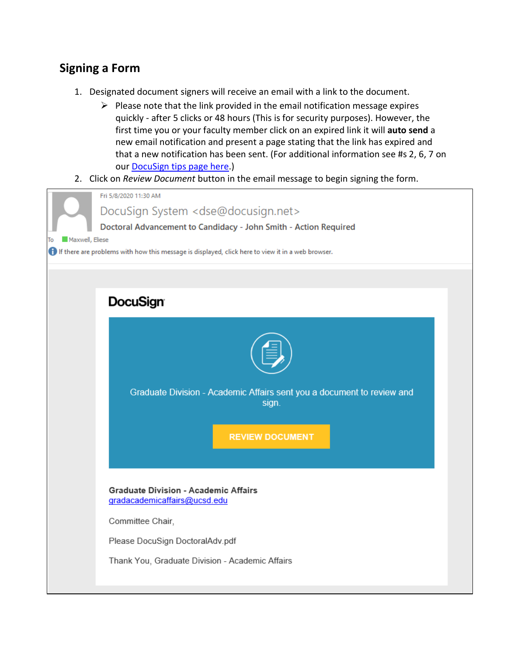#### <span id="page-5-0"></span>**Signing a Form**

- 1. Designated document signers will receive an email with a link to the document.
	- $\triangleright$  Please note that the link provided in the email notification message expires quickly - after 5 clicks or 48 hours (This is for security purposes). However, the first time you or your faculty member click on an expired link it will **auto send** a new email notification and present a page stating that the link has expired and that a new notification has been sent. (For additional information see #s 2, 6, 7 on our [DocuSign tips page here.](https://collab.ucsd.edu/x/6TSYBQ))
- 2. Click on *Review Document* button in the email message to begin signing the form.

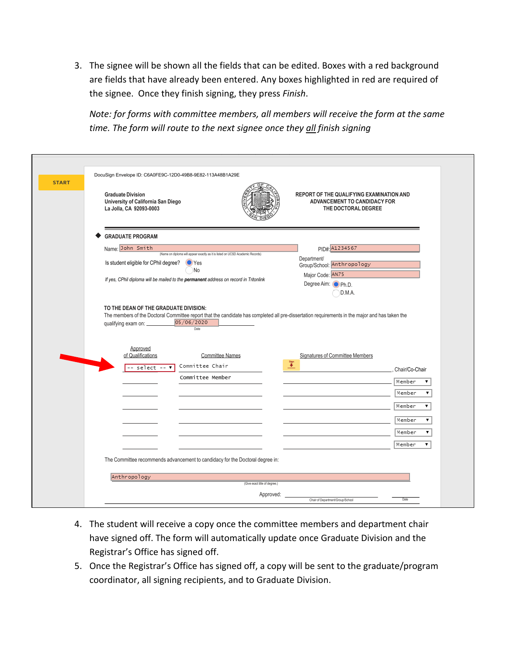3. The signee will be shown all the fields that can be edited. Boxes with a red background are fields that have already been entered. Any boxes highlighted in red are required of the signee. Once they finish signing, they press *Finish*.

*Note: for forms with committee members, all members will receive the form at the same time. The form will route to the next signee once they all finish signing*

| <b>START</b> | DocuSign Envelope ID: C6A0FE9C-12D0-49B8-9E82-113A48B1A29E<br><b>Graduate Division</b><br>REPORT OF THE QUALIFYING EXAMINATION AND<br>University of California San Diego<br>ADVANCEMENT TO CANDIDACY FOR<br>La Jolla, CA 92093-0003<br>THE DOCTORAL DEGREE |                             |
|--------------|------------------------------------------------------------------------------------------------------------------------------------------------------------------------------------------------------------------------------------------------------------|-----------------------------|
|              | <b>GRADUATE PROGRAM</b><br>Name: John Smith<br>PID#: A1234567<br>(Name on diploma will appear exactly as it is listed on UCSD Academic Records)<br>Department/<br>Is student eligible for CPhil degree?<br><b>Yes</b><br>Group/School: Anthropology<br>No  |                             |
|              | Major Code: AN75<br>If yes, CPhil diploma will be mailed to the permanent address on record in Tritonlink<br>Degree Aim: O Ph.D.<br>D.M.A.                                                                                                                 |                             |
|              | TO THE DEAN OF THE GRADUATE DIVISION:<br>The members of the Doctoral Committee report that the candidate has completed all pre-dissertation requirements in the major and has taken the<br>05/06/2020<br>qualifying exam on: _______<br>Date<br>Approved   |                             |
|              | of Qualifications<br>Committee Names<br>Signatures of Committee Members<br>$\overset{\text{sgn}}{\bigstar}$<br>Committee Chair<br>-- select -- <b>v</b>                                                                                                    | Chair/Co-Chair              |
|              | Committee Member                                                                                                                                                                                                                                           | Member<br>▼<br>Member       |
|              |                                                                                                                                                                                                                                                            | Member<br>Member            |
|              |                                                                                                                                                                                                                                                            | Member<br>7<br>Member<br>۷. |
|              | The Committee recommends advancement to candidacy for the Doctoral degree in:                                                                                                                                                                              |                             |
|              | Anthropology<br>(Give exact title of degree.)<br>Approved:<br>Chair of Department/Group/School                                                                                                                                                             | Date                        |

- 4. The student will receive a copy once the committee members and department chair have signed off. The form will automatically update once Graduate Division and the Registrar's Office has signed off.
- 5. Once the Registrar's Office has signed off, a copy will be sent to the graduate/program coordinator, all signing recipients, and to Graduate Division.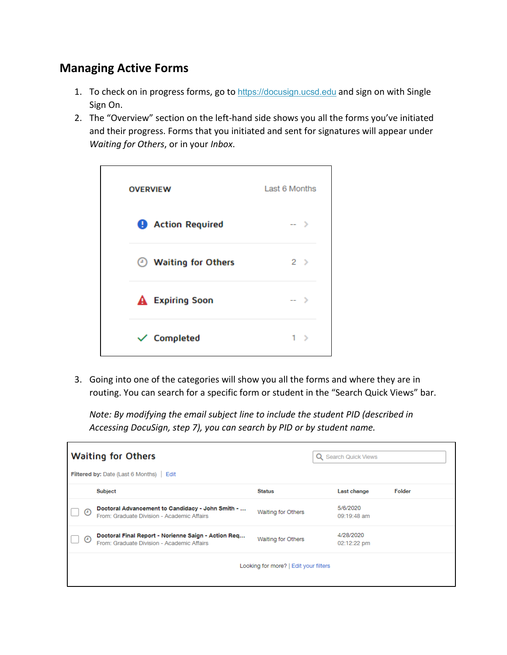#### <span id="page-7-0"></span>**Managing Active Forms**

- 1. To check on in progress forms, go to [https://docusign.ucsd.edu](https://docusign.ucsd.edu/) and sign on with Single Sign On.
- 2. The "Overview" section on the left-hand side shows you all the forms you've initiated and their progress. Forms that you initiated and sent for signatures will appear under *Waiting for Others*, or in your *Inbox*.



3. Going into one of the categories will show you all the forms and where they are in routing. You can search for a specific form or student in the "Search Quick Views" bar.

*Note: By modifying the email subject line to include the student PID (described in Accessing DocuSign, step 7), you can search by PID or by student name.*

| <b>Waiting for Others</b><br><b>Filtered by: Date (Last 6 Months)</b> Edit |                                                                                                   |                                       | Q Search Quick Views     |        |
|----------------------------------------------------------------------------|---------------------------------------------------------------------------------------------------|---------------------------------------|--------------------------|--------|
|                                                                            | Subject                                                                                           | <b>Status</b>                         | Last change              | Folder |
| ⊙                                                                          | Doctoral Advancement to Candidacy - John Smith -<br>From: Graduate Division - Academic Affairs    | Waiting for Others                    | 5/6/2020<br>09:19:48 am  |        |
| $\left( \cdot \right)$                                                     | Doctoral Final Report - Norienne Saign - Action Req<br>From: Graduate Division - Academic Affairs | Waiting for Others                    | 4/28/2020<br>02:12:22 pm |        |
|                                                                            |                                                                                                   | Looking for more?   Edit your filters |                          |        |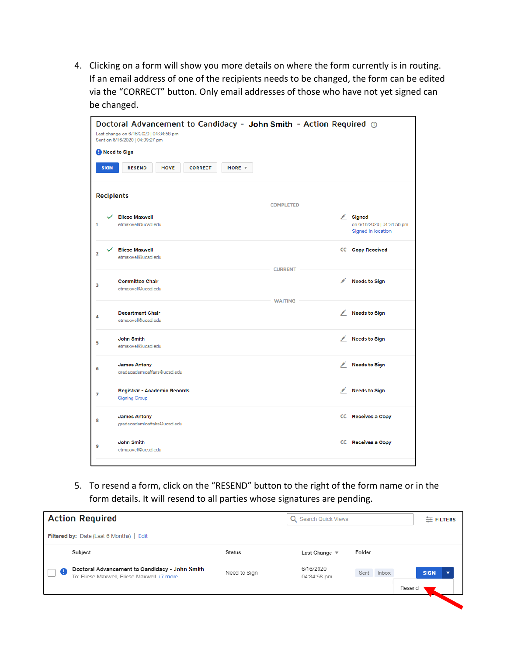4. Clicking on a form will show you more details on where the form currently is in routing. If an email address of one of the recipients needs to be changed, the form can be edited via the "CORRECT" button. Only email addresses of those who have not yet signed can be changed.

|                | Doctoral Advancement to Candidacy - John Smith - Action Required @<br>Last change on 6/16/2020   04:34:58 pm<br>Sent on 6/16/2020   04:09:27 pm |                                                      |                                 |                                            |                                                                          |  |  |
|----------------|-------------------------------------------------------------------------------------------------------------------------------------------------|------------------------------------------------------|---------------------------------|--------------------------------------------|--------------------------------------------------------------------------|--|--|
|                | Need to Sign                                                                                                                                    |                                                      |                                 |                                            |                                                                          |  |  |
|                | <b>SIGN</b>                                                                                                                                     | <b>RESEND</b><br><b>MOVE</b>                         | <b>CORRECT</b><br>MORE <b>W</b> |                                            |                                                                          |  |  |
|                |                                                                                                                                                 | <b>Recipients</b>                                    | <b>COMPLETED</b>                |                                            |                                                                          |  |  |
|                |                                                                                                                                                 |                                                      |                                 |                                            |                                                                          |  |  |
| 1              |                                                                                                                                                 | <b>Eliese Maxwell</b><br>etmaxwell@ucsd.edu          |                                 |                                            | $\mathcal{L}$ Signed<br>on 6/16/2020   04:34:56 pm<br>Signed in location |  |  |
| $\overline{a}$ |                                                                                                                                                 | <b>Eliese Maxwell</b><br>etmaxwell@ucsd.edu          |                                 |                                            | <b>CC</b> Copy Received                                                  |  |  |
|                |                                                                                                                                                 |                                                      | <b>CURRENT</b>                  |                                            |                                                                          |  |  |
| 3              |                                                                                                                                                 | <b>Committee Chair</b>                               |                                 |                                            | Needs to Sign                                                            |  |  |
|                |                                                                                                                                                 | etmaxwell@ucsd.edu                                   |                                 |                                            |                                                                          |  |  |
|                |                                                                                                                                                 |                                                      | <b>WAITING</b>                  |                                            |                                                                          |  |  |
| 4              |                                                                                                                                                 | <b>Department Chair</b><br>etmaxwell@ucsd.edu        |                                 | $\mathscr{L}$                              | <b>Needs to Sign</b>                                                     |  |  |
| 5              |                                                                                                                                                 | <b>John Smith</b>                                    |                                 | <b>Contract Contract Contract</b>          | <b>Needs to Sign</b>                                                     |  |  |
|                |                                                                                                                                                 | etmaxwell@ucsd.edu                                   |                                 |                                            |                                                                          |  |  |
| 6              |                                                                                                                                                 | <b>James Antony</b><br>gradacademicaffairs@ucsd.edu  |                                 |                                            | Needs to Sign                                                            |  |  |
| 7              |                                                                                                                                                 | Registrar - Academic Records<br><b>Signing Group</b> |                                 | <b>Contract Contract Contract Contract</b> | <b>Needs to Sign</b>                                                     |  |  |
| 8              |                                                                                                                                                 | <b>James Antony</b>                                  |                                 |                                            | CC Receives a Copy                                                       |  |  |
|                |                                                                                                                                                 | gradacademicaffairs@ucsd.edu                         |                                 |                                            |                                                                          |  |  |
| 9              |                                                                                                                                                 | <b>John Smith</b><br>etmaxwell@ucsd.edu              |                                 |                                            | CC Receives a Copy                                                       |  |  |
|                |                                                                                                                                                 |                                                      |                                 |                                            |                                                                          |  |  |

5. To resend a form, click on the "RESEND" button to the right of the form name or in the form details. It will resend to all parties whose signatures are pending.

|                           | <b>Action Required</b>                                                                       |              | <b>Search Quick Views</b><br>Q |                      | $E$ FILTERS |
|---------------------------|----------------------------------------------------------------------------------------------|--------------|--------------------------------|----------------------|-------------|
|                           | Filtered by: Date (Last 6 Months)   Edit                                                     |              |                                |                      |             |
|                           | Subject                                                                                      | Status       | Last Change $\sqrt$            | Folder               |             |
| $\bullet$<br>$\mathbb{R}$ | Doctoral Advancement to Candidacy - John Smith<br>To: Eliese Maxwell, Eliese Maxwell +7 more | Need to Sign | 6/16/2020<br>04:34:58 pm       | Sent Inbox<br>Resend | <b>SIGN</b> |
|                           |                                                                                              |              |                                |                      |             |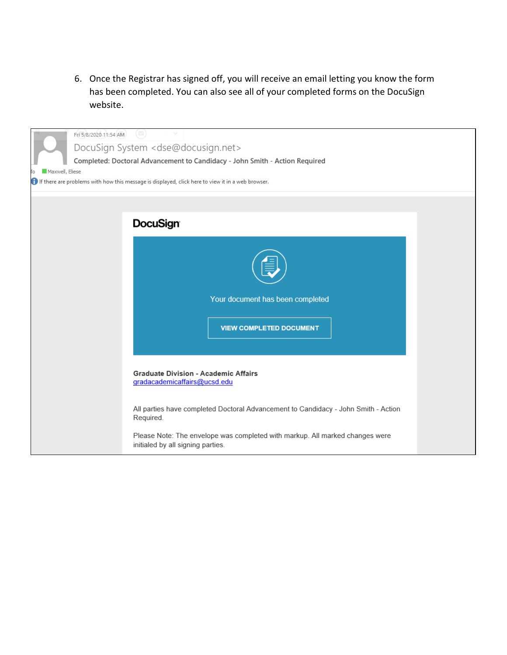6. Once the Registrar has signed off, you will receive an email letting you know the form has been completed. You can also see all of your completed forms on the DocuSign website.